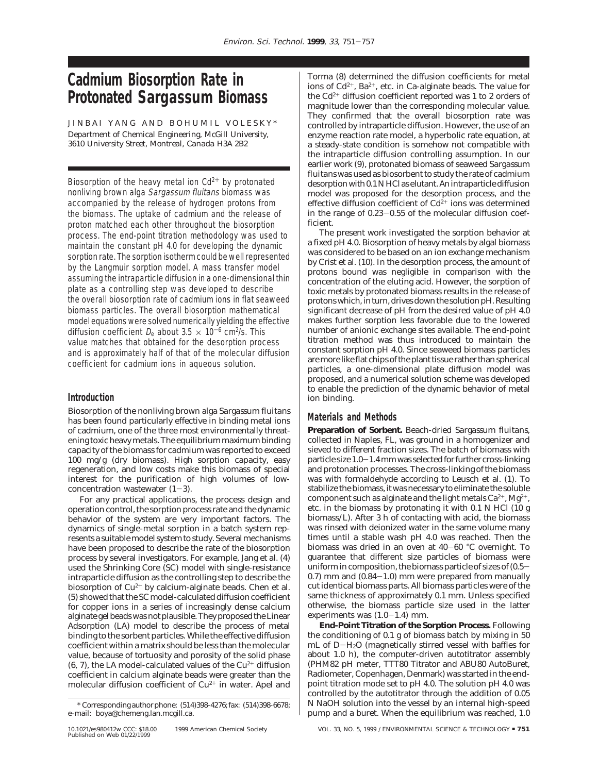# **Cadmium Biosorption Rate in Protonated** *Sargassum* **Biomass**

JINBAI YANG AND BOHUMIL VOLESKY\* *Department of Chemical Engineering, McGill University, 3610 University Street, Montreal, Canada H3A 2B2*

Biosorption of the heavy metal ion  $Cd^{2+}$  by protonated nonliving brown alga Sargassum fluitans biomass was accompanied by the release of hydrogen protons from the biomass. The uptake of cadmium and the release of proton matched each other throughout the biosorption process. The end-point titration methodology was used to maintain the constant pH 4.0 for developing the dynamic sorption rate. The sorption isotherm could be well represented by the Langmuir sorption model. A mass transfer model assuming the intraparticle diffusion in a one-dimensional thin plate as a controlling step was developed to describe the overall biosorption rate of cadmium ions in flat seaweed biomass particles. The overall biosorption mathematical model equations were solved numerically yielding the effective diffusion coefficient  $D_e$  about 3.5  $\times$  10<sup>-6</sup> cm<sup>2</sup>/s. This value matches that obtained for the desorption process and is approximately half of that of the molecular diffusion coefficient for cadmium ions in aqueous solution.

## **Introduction**

Biosorption of the nonliving brown alga *Sargassum fluitans* has been found particularly effective in binding metal ions of cadmium, one of the three most environmentally threatening toxic heavy metals. The equilibrium maximum binding capacity of the biomass for cadmium was reported to exceed 100 mg/g (dry biomass). High sorption capacity, easy regeneration, and low costs make this biomass of special interest for the purification of high volumes of lowconcentration wastewater (*1*-*3*).

For any practical applications, the process design and operation control, the sorption process rate and the dynamic behavior of the system are very important factors. The dynamics of single-metal sorption in a batch system represents a suitable model system to study. Several mechanisms have been proposed to describe the rate of the biosorption process by several investigators. For example, Jang et al. (*4*) used the Shrinking Core (SC) model with single-resistance intraparticle diffusion as the controlling step to describe the biosorption of  $Cu^{2+}$  by calcium-alginate beads. Chen et al. (*5*) showed that the SC model-calculated diffusion coefficient for copper ions in a series of increasingly dense calcium alginate gel beads was not plausible. They proposed the Linear Adsorption (LA) model to describe the process of metal binding to the sorbent particles. While the effective diffusion coefficient within a matrix should be less than the molecular value, because of tortuosity and porosity of the solid phase (6, 7), the LA model-calculated values of the  $Cu^{2+}$  diffusion coefficient in calcium alginate beads were greater than the molecular diffusion coefficient of  $Cu^{2+}$  in water. Apel and

Torma (*8*) determined the diffusion coefficients for metal ions of  $Cd^{2+}$ , Ba<sup>2+</sup>, etc. in Ca-alginate beads. The value for the Cd2<sup>+</sup> diffusion coefficient reported was 1 to 2 orders of magnitude lower than the corresponding molecular value. They confirmed that the overall biosorption rate was controlled by intraparticle diffusion. However, the use of an enzyme reaction rate model, a hyperbolic rate equation, at a steady-state condition is somehow not compatible with the intraparticle diffusion controlling assumption. In our earlier work (*9*), protonated biomass of seaweed *Sargassum fluitans* was used as biosorbent to study the rate of cadmium desorption with 0.1 N HCl as elutant. An intraparticle diffusion model was proposed for the desorption process, and the effective diffusion coefficient of  $Cd^{2+}$  ions was determined in the range of 0.23-0.55 of the molecular diffusion coefficient.

The present work investigated the sorption behavior at a fixed pH 4.0. Biosorption of heavy metals by algal biomass was considered to be based on an ion exchange mechanism by Crist et al. (*10*). In the desorption process, the amount of protons bound was negligible in comparison with the concentration of the eluting acid. However, the sorption of toxic metals by protonated biomass results in the release of protons which, in turn, drives down the solution pH. Resulting significant decrease of pH from the desired value of pH 4.0 makes further sorption less favorable due to the lowered number of anionic exchange sites available. The end-point titration method was thus introduced to maintain the constant sorption pH 4.0. Since seaweed biomass particles are more like flat chips of the plant tissue rather than spherical particles, a one-dimensional plate diffusion model was proposed, and a numerical solution scheme was developed to enable the prediction of the dynamic behavior of metal ion binding.

## **Materials and Methods**

**Preparation of Sorbent.** Beach-dried *Sargassum fluitans*, collected in Naples, FL, was ground in a homogenizer and sieved to different fraction sizes. The batch of biomass with particle size 1.0-1.4 mm was selected for further cross-linking and protonation processes. The cross-linking of the biomass was with formaldehyde according to Leusch et al. (*1*). To stabilize the biomass, it was necessary to eliminate the soluble component such as alginate and the light metals  $Ca^{2+}$ ,  $Mg^{2+}$ , etc. in the biomass by protonating it with 0.1 N HCl (10 g biomass/L). After 3 h of contacting with acid, the biomass was rinsed with deionized water in the same volume many times until a stable wash pH 4.0 was reached. Then the biomass was dried in an oven at 40-<sup>60</sup> °C overnight. To guarantee that different size particles of biomass were uniform in composition, the biomass particle of sizes of (0.5-  $(0.7)$  mm and  $(0.84-1.0)$  mm were prepared from manually cut identical biomass parts. All biomass particles were of the same thickness of approximately 0.1 mm. Unless specified otherwise, the biomass particle size used in the latter experiments was  $(1.0-1.4)$  mm.

**End-Point Titration of the Sorption Process.** Following the conditioning of 0.1 g of biomass batch by mixing in 50 mL of D-H2O (magnetically stirred vessel with baffles for about 1.0 h), the computer-driven autotitrator assembly (PHM82 pH meter, TTT80 Titrator and ABU80 AutoBuret, Radiometer, Copenhagen, Denmark) was started in the endpoint titration mode set to pH 4.0. The solution pH 4.0 was controlled by the autotitrator through the addition of 0.05 N NaOH solution into the vessel by an internal high-speed pump and a buret. When the equilibrium was reached, 1.0

<sup>\*</sup> Corresponding author phone: (514)398-4276; fax: (514)398-6678; e-mail: boya@chemeng.lan.mcgill.ca.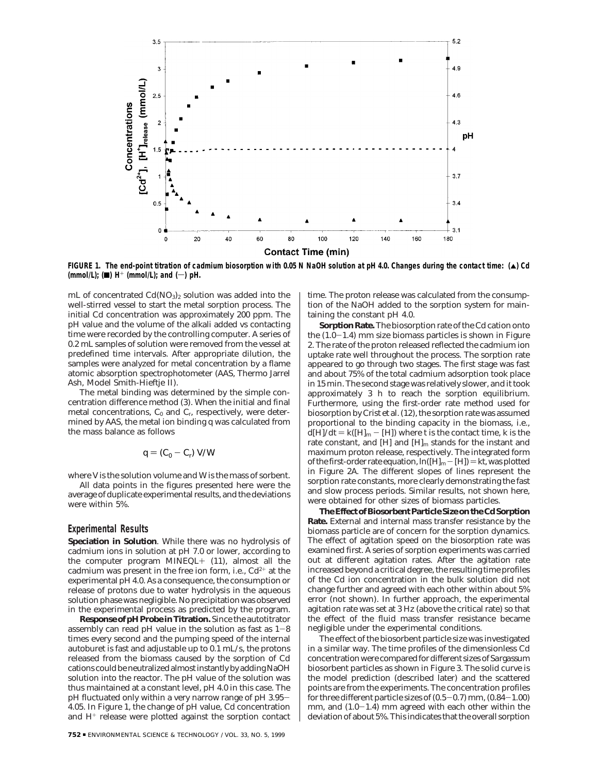

**FIGURE 1. The end-point titration of cadmium biosorption with 0.05 N NaOH solution at pH 4.0. Changes during the contact time: (**2**) Cd**  $(mmol/L);$   $(4)$  H<sup>+</sup>  $(mmol/L);$  and  $(-)$  pH.

mL of concentrated  $Cd(NO<sub>3</sub>)<sub>2</sub>$  solution was added into the well-stirred vessel to start the metal sorption process. The initial Cd concentration was approximately 200 ppm. The pH value and the volume of the alkali added vs contacting time were recorded by the controlling computer. A series of 0.2 mL samples of solution were removed from the vessel at predefined time intervals. After appropriate dilution, the samples were analyzed for metal concentration by a flame atomic absorption spectrophotometer (AAS, Thermo Jarrel Ash, Model Smith-Hieftje II).

The metal binding was determined by the simple concentration difference method (*3*). When the initial and final metal concentrations,  $C_0$  and  $C_r$ , respectively, were determined by AAS, the metal ion binding *q* was calculated from the mass balance as follows

$$
q = (C_0 - C_{\rm r}) \ V/W
$$

where *V* is the solution volume and *W* is the mass of sorbent.

All data points in the figures presented here were the average of duplicate experimental results, and the deviations were within 5%.

### **Experimental Results**

**Speciation in Solution**. While there was no hydrolysis of cadmium ions in solution at pH 7.0 or lower, according to the computer program MINEQL+ (*11*), almost all the cadmium was present in the free ion form, i.e.,  $Cd^{2+}$  at the experimental pH 4.0. As a consequence, the consumption or release of protons due to water hydrolysis in the aqueous solution phase was negligible. No precipitation was observed in the experimental process as predicted by the program.

**Response of pH Probe in Titration.** Since the autotitrator assembly can read pH value in the solution as fast as  $1-8$ times every second and the pumping speed of the internal autoburet is fast and adjustable up to 0.1 mL/s, the protons released from the biomass caused by the sorption of Cd cations could be neutralized almost instantly by adding NaOH solution into the reactor. The pH value of the solution was thus maintained at a constant level, pH 4.0 in this case. The pH fluctuated only within a very narrow range of pH 3.95- 4.05. In Figure 1, the change of pH value, Cd concentration and  $H^+$  release were plotted against the sorption contact time. The proton release was calculated from the consumption of the NaOH added to the sorption system for maintaining the constant pH 4.0.

**Sorption Rate.** The biosorption rate of the Cd cation onto the  $(1.0-1.4)$  mm size biomass particles is shown in Figure 2. The rate of the proton released reflected the cadmium ion uptake rate well throughout the process. The sorption rate appeared to go through two stages. The first stage was fast and about 75% of the total cadmium adsorption took place in 15 min. The second stage was relatively slower, and it took approximately 3 h to reach the sorption equilibrium. Furthermore, using the first-order rate method used for biosorption by Crist et al. (*12*), the sorption rate was assumed proportional to the binding capacity in the biomass, i.e.,  $d[H]/dt = k([H]_m - [H])$  where *t* is the contact time, *k* is the rate constant, and  $[H]$  and  $[H]$ <sub>m</sub> stands for the instant and maximum proton release, respectively. The integrated form of the first-order rate equation,  $\ln([H]_m - [H]) = kt$ , was plotted in Figure 2A. The different slopes of lines represent the sorption rate constants, more clearly demonstrating the fast and slow process periods. Similar results, not shown here, were obtained for other sizes of biomass particles.

**The Effect of Biosorbent Particle Size on the Cd Sorption Rate.** External and internal mass transfer resistance by the biomass particle are of concern for the sorption dynamics. The effect of agitation speed on the biosorption rate was examined first. A series of sorption experiments was carried out at different agitation rates. After the agitation rate increased beyond a critical degree, the resulting time profiles of the Cd ion concentration in the bulk solution did not change further and agreed with each other within about 5% error (not shown). In further approach, the experimental agitation rate was set at 3 Hz (above the critical rate) so that the effect of the fluid mass transfer resistance became negligible under the experimental conditions.

The effect of the biosorbent particle size was investigated in a similar way. The time profiles of the dimensionless Cd concentration were compared for different sizes of *Sargassum* biosorbent particles as shown in Figure 3. The solid curve is the model prediction (described later) and the scattered points are from the experiments. The concentration profiles for three different particle sizes of  $(0.5-0.7)$  mm,  $(0.84-1.00)$ mm, and  $(1.0-1.4)$  mm agreed with each other within the deviation of about 5%. This indicates that the overall sorption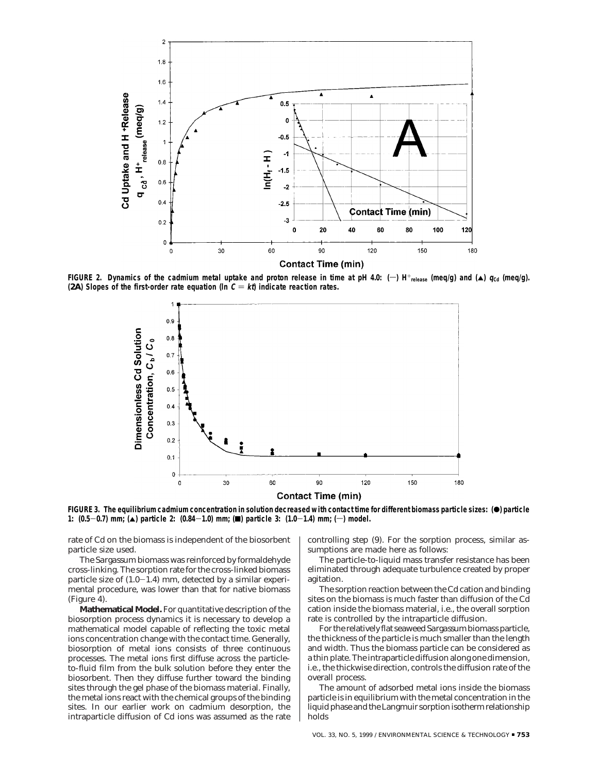

**FIGURE 2.** Dynamics of the cadmium metal uptake and proton release in time at pH 4.0:  $(-)$  H<sup>+</sup><sub>release</sub> (meq/g) and ( $\triangle$ )  $q_{\text{Cd}}$  (meq/g). **(2A)** Slopes of the first-order rate equation (In  $C = k\hat{\theta}$ ) indicate reaction rates.



FIGURE 3. The equilibrium cadmium concentration in solution decreased with contact time for different biomass particle sizes: (<sup>\*</sup>) particle 1:  $(0.5-0.7)$  mm; (A) particle 2:  $(0.84-1.0)$  mm; (D) particle 3:  $(1.0-1.4)$  mm; (-) model.

rate of Cd on the biomass is independent of the biosorbent particle size used.

The *Sargassum* biomass was reinforced by formaldehyde cross-linking. The sorption rate for the cross-linked biomass particle size of  $(1.0-1.4)$  mm, detected by a similar experimental procedure, was lower than that for native biomass (Figure 4).

**Mathematical Model.** For quantitative description of the biosorption process dynamics it is necessary to develop a mathematical model capable of reflecting the toxic metal ions concentration change with the contact time. Generally, biosorption of metal ions consists of three continuous processes. The metal ions first diffuse across the particleto-fluid film from the bulk solution before they enter the biosorbent. Then they diffuse further toward the binding sites through the gel phase of the biomass material. Finally, the metal ions react with the chemical groups of the binding sites. In our earlier work on cadmium desorption, the intraparticle diffusion of Cd ions was assumed as the rate controlling step (*9*). For the sorption process, similar assumptions are made here as follows:

The particle-to-liquid mass transfer resistance has been eliminated through adequate turbulence created by proper agitation.

The sorption reaction between the Cd cation and binding sites on the biomass is much faster than diffusion of the Cd cation inside the biomass material, i.e., the overall sorption rate is controlled by the intraparticle diffusion.

For the relatively flat seaweed*Sargassum*biomass particle, the thickness of the particle is much smaller than the length and width. Thus the biomass particle can be considered as a thin plate. The intraparticle diffusion along one dimension, i.e., the thickwise direction, controls the diffusion rate of the overall process.

The amount of adsorbed metal ions inside the biomass particle is in equilibrium with the metal concentration in the liquid phase and the Langmuir sorption isotherm relationship holds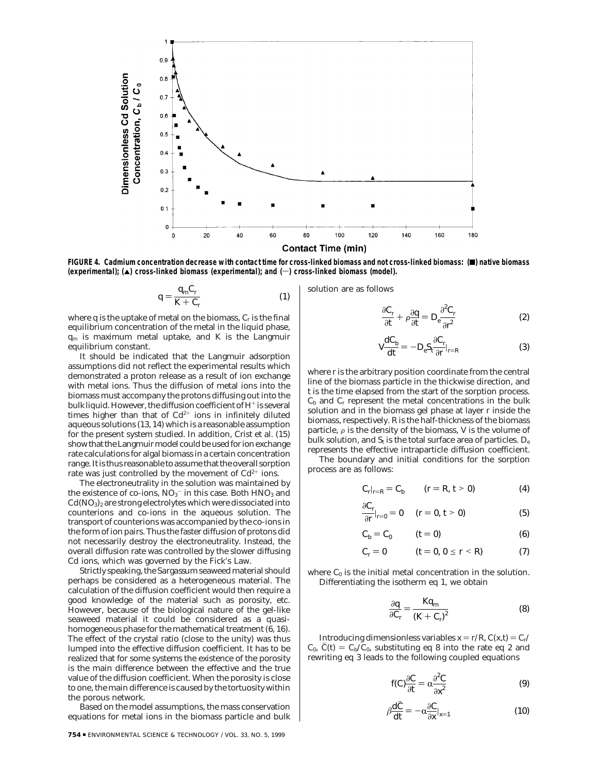

FIGURE 4. Cadmium concentration decrease with contact time for cross-linked biomass and not cross-linked biomass: (**■**) native biomass (experimental); (▲) cross-linked biomass (experimental); and (→) cross-linked biomass (model).

$$
q = \frac{q_{\rm m} C_{\rm r}}{K + C_{\rm r}}\tag{1}
$$

where *q* is the uptake of metal on the biomass, *Cr* is the final equilibrium concentration of the metal in the liquid phase, *q*<sup>m</sup> is maximum metal uptake, and *K* is the Langmuir equilibrium constant.

It should be indicated that the Langmuir adsorption assumptions did not reflect the experimental results which demonstrated a proton release as a result of ion exchange with metal ions. Thus the diffusion of metal ions into the biomass must accompany the protons diffusing out into the bulk liquid. However, the diffusion coefficient of  $H^+$  is several times higher than that of  $Cd^{2+}$  ions in infinitely diluted aqueous solutions (*13*, *14*) which is a reasonable assumption for the present system studied. In addition, Crist et al. (*15*) show that the Langmuir model could be used for ion exchange rate calculations for algal biomass in a certain concentration range. It is thus reasonable to assume that the overall sorption rate was just controlled by the movement of  $Cd^{2+}$  ions.

The electroneutrality in the solution was maintained by the existence of co-ions,  $NO<sub>3</sub><sup>-</sup>$  in this case. Both  $HNO<sub>3</sub>$  and  $Cd(NO<sub>3</sub>)<sub>2</sub>$  are strong electrolytes which were dissociated into counterions and co-ions in the aqueous solution. The transport of counterions was accompanied by the co-ions in the form of ion pairs. Thus the faster diffusion of protons did not necessarily destroy the electroneutrality. Instead, the overall diffusion rate was controlled by the slower diffusing Cd ions, which was governed by the Fick's Law.

Strictly speaking, the *Sargassum* seaweed material should perhaps be considered as a heterogeneous material. The calculation of the diffusion coefficient would then require a good knowledge of the material such as porosity, etc. However, because of the biological nature of the gel-like seaweed material it could be considered as a quasihomogeneous phase for the mathematical treatment (*6*, *16*). The effect of the crystal ratio (close to the unity) was thus lumped into the effective diffusion coefficient. It has to be realized that for some systems the existence of the porosity is the main difference between the effective and the true value of the diffusion coefficient. When the porosity is close to one, the main difference is caused by the tortuosity within the porous network.

Based on the model assumptions, the mass conservation equations for metal ions in the biomass particle and bulk

solution are as follows

$$
\frac{\partial C_r}{\partial t} + \rho \frac{\partial q}{\partial t} = D_e \frac{\partial^2 C_r}{\partial t^2}
$$
 (2)

$$
V\frac{dC_b}{dt} = -D_e S_t \frac{\partial C_r}{\partial r}|_{r=R}
$$
 (3)

where *r* is the arbitrary position coordinate from the central line of the biomass particle in the thickwise direction, and *t* is the time elapsed from the start of the sorption process.  $C_b$  and  $C_r$  represent the metal concentrations in the bulk solution and in the biomass gel phase at layer *r* inside the biomass, respectively. *R* is the half-thickness of the biomass particle,  $\rho$  is the density of the biomass, *V* is the volume of bulk solution, and  $S_t$  is the total surface area of particles.  $D_e$ represents the effective intraparticle diffusion coefficient.

The boundary and initial conditions for the sorption process are as follows:

$$
C_r|_{r=R} = C_b \t (r = R, t > 0)
$$
 (4)

$$
\frac{\partial C_r}{\partial r}|_{r=0} = 0 \quad (r = 0, t > 0)
$$
 (5)

$$
C_b = C_0 \qquad (t = 0) \tag{6}
$$

$$
C_r = 0 \qquad \qquad (t = 0, 0 \leq r < R) \tag{7}
$$

where  $C_0$  is the initial metal concentration in the solution. Differentiating the isotherm eq 1, we obtain

$$
\frac{\partial q}{\partial C_r} = \frac{Kq_m}{(K + C_r)^2} \tag{8}
$$

Introducing dimensionless variables  $x = r/R$ ,  $C(x,t) = C_r/$  $C_0$ ,  $C(t) = C_b/C_0$ , substituting eq 8 into the rate eq 2 and rewriting eq 3 leads to the following coupled equations

$$
f(C)\frac{\partial C}{\partial t} = \alpha \frac{\partial^2 C}{\partial x^2}
$$
 (9)

$$
\beta \frac{dC}{dt} = -\alpha \frac{\partial C}{\partial x}|_{x=1} \tag{10}
$$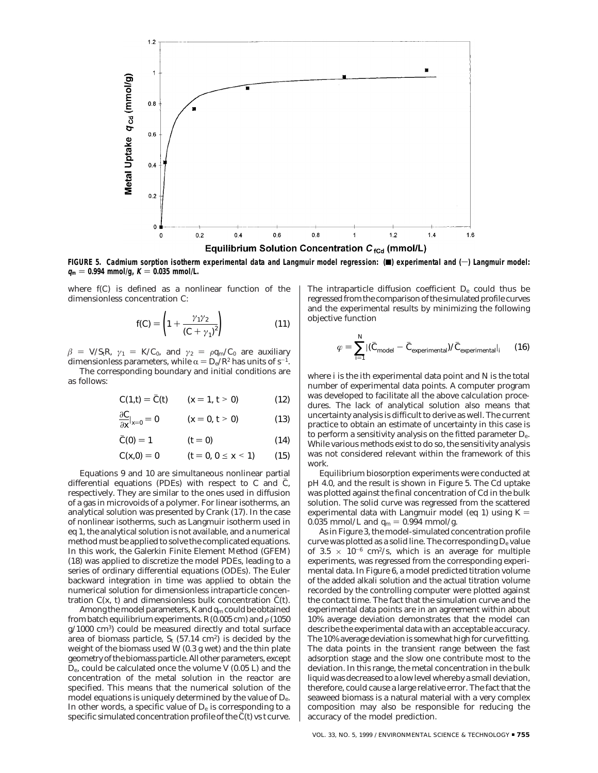

FIGURE 5. Cadmium sorption isotherm experimental data and Langmuir model regression: () experimental and (-) Langmuir model:  $q_m = 0.994$  mmol/g,  $K = 0.035$  mmol/L.

where *f*(*C*) is defined as a nonlinear function of the dimensionless concentration *C*:

$$
f(C) = \left(1 + \frac{\gamma_1 \gamma_2}{(C + \gamma_1)^2}\right) \tag{11}
$$

 $\beta$  = *V*/*S*<sub>t</sub>*R*,  $\gamma_1$  = *K*/*C*<sub>0</sub>, and  $\gamma_2$  =  $\rho q_m/C_0$  are auxiliary dimensionless parameters, while  $\alpha = D_e/R^2$  has units of s<sup>-1</sup>. The corresponding boundary and initial conditions are

as follows:

$$
C(1,t) = \overline{C}(t) \qquad (x = 1, t > 0) \tag{12}
$$

$$
\frac{\partial C}{\partial x}|_{x=0}=0 \qquad (x=0,\,t>0) \tag{13}
$$

$$
\overline{C}(0) = 1 \qquad \qquad (t = 0) \tag{14}
$$

$$
C(x,0) = 0 \qquad (t = 0, 0 \le x < 1) \qquad (15)
$$

Equations 9 and 10 are simultaneous nonlinear partial differential equations (PDEs) with respect to  $C$  and  $\overline{C}$ , respectively. They are similar to the ones used in diffusion of a gas in microvoids of a polymer. For linear isotherms, an analytical solution was presented by Crank (*17*). In the case of nonlinear isotherms, such as Langmuir isotherm used in eq 1, the analytical solution is not available, and a numerical method must be applied to solve the complicated equations. In this work, the Galerkin Finite Element Method (GFEM) (*18*) was applied to discretize the model PDEs, leading to a series of ordinary differential equations (ODEs). The Euler backward integration in time was applied to obtain the numerical solution for dimensionless intraparticle concentration  $C(x, t)$  and dimensionless bulk concentration  $\overline{C}(t)$ .

Among the model parameters,*K*and *q*<sup>m</sup> could be obtained from batch equilibrium experiments.  $R(0.005 \text{ cm})$  and  $\rho(1050 \text{ cm})$ g/1000 cm3) could be measured directly and total surface area of biomass particle,  $S_t$  (57.14 cm<sup>2</sup>) is decided by the weight of the biomass used *W* (0.3 g wet) and the thin plate geometry of the biomass particle. All other parameters, except *D*e, could be calculated once the volume *V* (0.05 L) and the concentration of the metal solution in the reactor are specified. This means that the numerical solution of the model equations is uniquely determined by the value of *D*e. In other words, a specific value of  $D<sub>e</sub>$  is corresponding to a specific simulated concentration profile of the  $\overline{C}(t)$  vs *t* curve. The intraparticle diffusion coefficient *D*<sup>e</sup> could thus be regressed from the comparison of the simulated profile curves and the experimental results by minimizing the following objective function

$$
\varphi = \sum_{i=1}^{N} |(\bar{C}_{\text{model}} - \bar{C}_{\text{experimental}})/\bar{C}_{\text{experimental}}|_{i} \qquad (16)
$$

where *i* is the *i*th experimental data point and *N* is the total number of experimental data points. A computer program was developed to facilitate all the above calculation procedures. The lack of analytical solution also means that uncertainty analysis is difficult to derive as well. The current practice to obtain an estimate of uncertainty in this case is to perform a sensitivity analysis on the fitted parameter *D*e. While various methods exist to do so, the sensitivity analysis was not considered relevant within the framework of this work.

Equilibrium biosorption experiments were conducted at pH 4.0, and the result is shown in Figure 5. The Cd uptake was plotted against the final concentration of Cd in the bulk solution. The solid curve was regressed from the scattered experimental data with Langmuir model (eq 1) using  $K =$ 0.035 mmol/L and  $q_m = 0.994$  mmol/g.

As in Figure 3, the model-simulated concentration profile curve was plotted as a solid line. The corresponding  $D_e$  value of 3.5  $\times$  10<sup>-6</sup> cm<sup>2</sup>/s, which is an average for multiple experiments, was regressed from the corresponding experimental data. In Figure 6, a model predicted titration volume of the added alkali solution and the actual titration volume recorded by the controlling computer were plotted against the contact time. The fact that the simulation curve and the experimental data points are in an agreement within about 10% average deviation demonstrates that the model can describe the experimental data with an acceptable accuracy. The 10% average deviation is somewhat high for curve fitting. The data points in the transient range between the fast adsorption stage and the slow one contribute most to the deviation. In this range, the metal concentration in the bulk liquid was decreased to a low level whereby a small deviation, therefore, could cause a large relative error. The fact that the seaweed biomass is a natural material with a very complex composition may also be responsible for reducing the accuracy of the model prediction.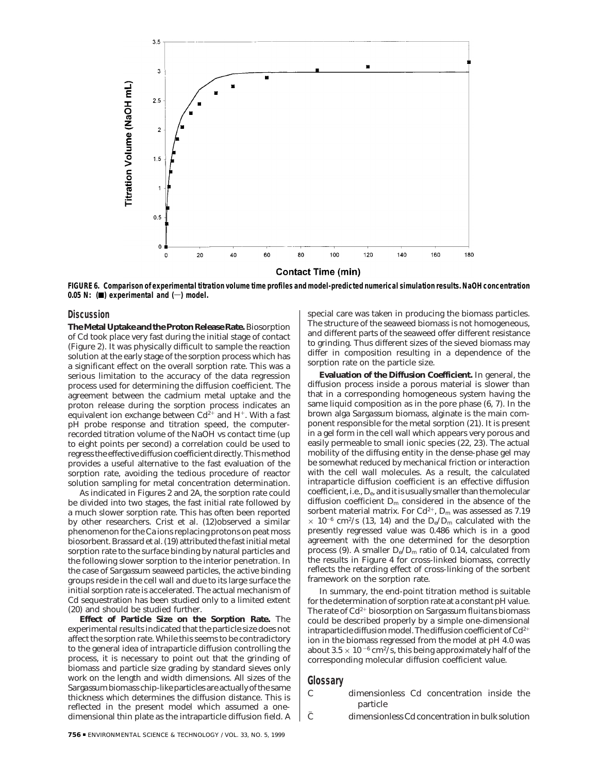

#### **Contact Time (min)**

**FIGURE 6. Comparison of experimental titration volume time profiles and model-predicted numerical simulation results. NaOH concentration**  $0.05$  N:  $(\blacksquare)$  experimental and  $(\neg)$  model.

#### **Discussion**

**The Metal Uptake and the Proton Release Rate.** Biosorption of Cd took place very fast during the initial stage of contact (Figure 2). It was physically difficult to sample the reaction solution at the early stage of the sorption process which has a significant effect on the overall sorption rate. This was a serious limitation to the accuracy of the data regression process used for determining the diffusion coefficient. The agreement between the cadmium metal uptake and the proton release during the sorption process indicates an equivalent ion exchange between  $Cd^{2+}$  and  $H^+$ . With a fast pH probe response and titration speed, the computerrecorded titration volume of the NaOH vs contact time (up to eight points per second) a correlation could be used to regress the effective diffusion coefficient directly. This method provides a useful alternative to the fast evaluation of the sorption rate, avoiding the tedious procedure of reactor solution sampling for metal concentration determination.

As indicated in Figures 2 and 2A, the sorption rate could be divided into two stages, the fast initial rate followed by a much slower sorption rate. This has often been reported by other researchers. Crist et al. (*12*)observed a similar phenomenon for the Ca ions replacing protons on peat moss biosorbent. Brassard et al. (*19*) attributed the fast initial metal sorption rate to the surface binding by natural particles and the following slower sorption to the interior penetration. In the case of *Sargassum* seaweed particles, the active binding groups reside in the cell wall and due to its large surface the initial sorption rate is accelerated. The actual mechanism of Cd sequestration has been studied only to a limited extent (*20*) and should be studied further.

**Effect of Particle Size on the Sorption Rate.** The experimental results indicated that the particle size does not affect the sorption rate. While this seems to be contradictory to the general idea of intraparticle diffusion controlling the process, it is necessary to point out that the grinding of biomass and particle size grading by standard sieves only work on the length and width dimensions. All sizes of the *Sargassum*biomass chip-like particles are actually of the same thickness which determines the diffusion distance. This is reflected in the present model which assumed a onedimensional thin plate as the intraparticle diffusion field. A

special care was taken in producing the biomass particles. The structure of the seaweed biomass is not homogeneous, and different parts of the seaweed offer different resistance to grinding. Thus different sizes of the sieved biomass may differ in composition resulting in a dependence of the sorption rate on the particle size.

**Evaluation of the Diffusion Coefficient.** In general, the diffusion process inside a porous material is slower than that in a corresponding homogeneous system having the same liquid composition as in the pore phase (*6*, *7*). In the brown alga *Sargassum* biomass, alginate is the main component responsible for the metal sorption (*21*). It is present in a gel form in the cell wall which appears very porous and easily permeable to small ionic species (*22*, *23*). The actual mobility of the diffusing entity in the dense-phase gel may be somewhat reduced by mechanical friction or interaction with the cell wall molecules. As a result, the calculated intraparticle diffusion coefficient is an effective diffusion coefficient, i.e.,*D*e, and it is usually smaller than the molecular diffusion coefficient *D*<sup>m</sup> considered in the absence of the sorbent material matrix. For Cd<sup>2+</sup>,  $D_m$  was assessed as 7.19  $\times$  10<sup>-6</sup> cm<sup>2</sup>/s (13, 14) and the  $D_e/D_m$  calculated with the presently regressed value was 0.486 which is in a good agreement with the one determined for the desorption process (9). A smaller  $D_e/D_m$  ratio of 0.14, calculated from the results in Figure 4 for cross-linked biomass, correctly reflects the retarding effect of cross-linking of the sorbent framework on the sorption rate.

In summary, the end-point titration method is suitable for the determination of sorption rate at a constant pH value. The rate of Cd2<sup>+</sup> biosorption on *Sargassum fluitans* biomass could be described properly by a simple one-dimensional intraparticle diffusion model. The diffusion coefficient of  $Cd^{2+}$ ion in the biomass regressed from the model at pH 4.0 was about 3.5  $\times$  10  $^{-6}$  cm^2/s, this being approximately half of the corresponding molecular diffusion coefficient value.

# **Glossary**

- *C* dimensionless Cd concentration inside the particle
- $\overline{C}$  dimensionless Cd concentration in bulk solution